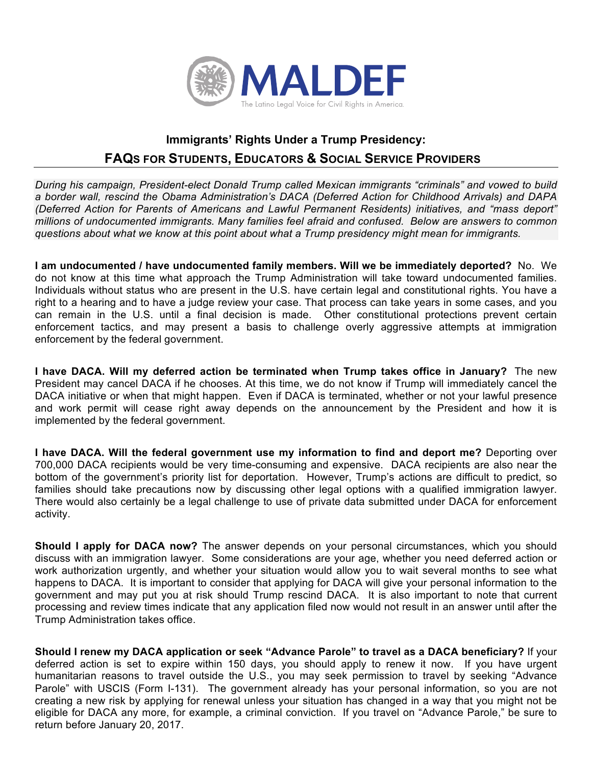

## **Immigrants' Rights Under a Trump Presidency: FAQS FOR STUDENTS, EDUCATORS & SOCIAL SERVICE PROVIDERS**

*During his campaign, President-elect Donald Trump called Mexican immigrants "criminals" and vowed to build a border wall, rescind the Obama Administration's DACA (Deferred Action for Childhood Arrivals) and DAPA (Deferred Action for Parents of Americans and Lawful Permanent Residents) initiatives, and "mass deport" millions of undocumented immigrants. Many families feel afraid and confused. Below are answers to common questions about what we know at this point about what a Trump presidency might mean for immigrants.*

**I am undocumented / have undocumented family members. Will we be immediately deported?** No. We do not know at this time what approach the Trump Administration will take toward undocumented families. Individuals without status who are present in the U.S. have certain legal and constitutional rights. You have a right to a hearing and to have a judge review your case. That process can take years in some cases, and you can remain in the U.S. until a final decision is made. Other constitutional protections prevent certain enforcement tactics, and may present a basis to challenge overly aggressive attempts at immigration enforcement by the federal government.

**I have DACA. Will my deferred action be terminated when Trump takes office in January?** The new President may cancel DACA if he chooses. At this time, we do not know if Trump will immediately cancel the DACA initiative or when that might happen. Even if DACA is terminated, whether or not your lawful presence and work permit will cease right away depends on the announcement by the President and how it is implemented by the federal government.

**I have DACA. Will the federal government use my information to find and deport me?** Deporting over 700,000 DACA recipients would be very time-consuming and expensive. DACA recipients are also near the bottom of the government's priority list for deportation. However, Trump's actions are difficult to predict, so families should take precautions now by discussing other legal options with a qualified immigration lawyer. There would also certainly be a legal challenge to use of private data submitted under DACA for enforcement activity.

**Should I apply for DACA now?** The answer depends on your personal circumstances, which you should discuss with an immigration lawyer. Some considerations are your age, whether you need deferred action or work authorization urgently, and whether your situation would allow you to wait several months to see what happens to DACA. It is important to consider that applying for DACA will give your personal information to the government and may put you at risk should Trump rescind DACA. It is also important to note that current processing and review times indicate that any application filed now would not result in an answer until after the Trump Administration takes office.

**Should I renew my DACA application or seek "Advance Parole" to travel as a DACA beneficiary?** If your deferred action is set to expire within 150 days, you should apply to renew it now. If you have urgent humanitarian reasons to travel outside the U.S., you may seek permission to travel by seeking "Advance Parole" with USCIS (Form I-131). The government already has your personal information, so you are not creating a new risk by applying for renewal unless your situation has changed in a way that you might not be eligible for DACA any more, for example, a criminal conviction. If you travel on "Advance Parole," be sure to return before January 20, 2017.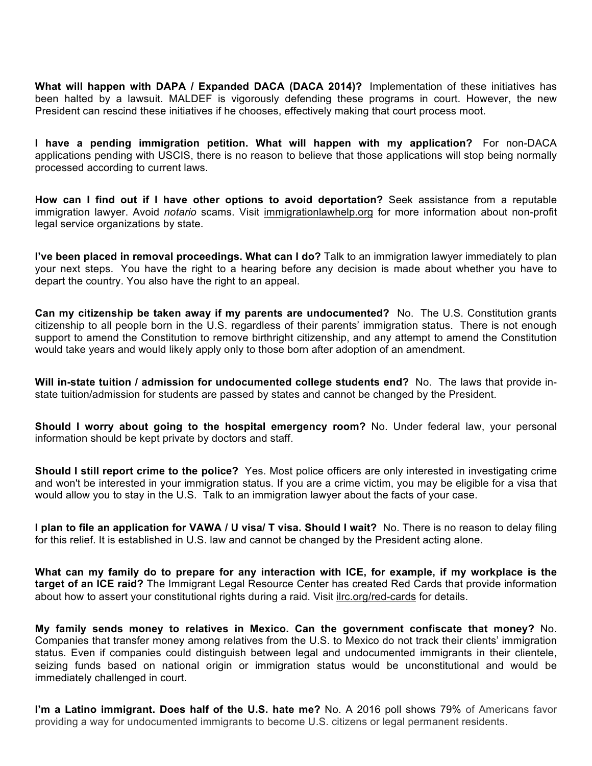**What will happen with DAPA / Expanded DACA (DACA 2014)?** Implementation of these initiatives has been halted by a lawsuit. MALDEF is vigorously defending these programs in court. However, the new President can rescind these initiatives if he chooses, effectively making that court process moot.

**I have a pending immigration petition. What will happen with my application?** For non-DACA applications pending with USCIS, there is no reason to believe that those applications will stop being normally processed according to current laws.

**How can I find out if I have other options to avoid deportation?** Seek assistance from a reputable immigration lawyer. Avoid *notario* scams. Visit immigrationlawhelp.org for more information about non-profit legal service organizations by state.

**I've been placed in removal proceedings. What can I do?** Talk to an immigration lawyer immediately to plan your next steps. You have the right to a hearing before any decision is made about whether you have to depart the country. You also have the right to an appeal.

**Can my citizenship be taken away if my parents are undocumented?** No. The U.S. Constitution grants citizenship to all people born in the U.S. regardless of their parents' immigration status. There is not enough support to amend the Constitution to remove birthright citizenship, and any attempt to amend the Constitution would take years and would likely apply only to those born after adoption of an amendment.

**Will in-state tuition / admission for undocumented college students end?** No. The laws that provide instate tuition/admission for students are passed by states and cannot be changed by the President.

**Should I worry about going to the hospital emergency room?** No. Under federal law, your personal information should be kept private by doctors and staff.

**Should I still report crime to the police?** Yes. Most police officers are only interested in investigating crime and won't be interested in your immigration status. If you are a crime victim, you may be eligible for a visa that would allow you to stay in the U.S. Talk to an immigration lawyer about the facts of your case.

**I plan to file an application for VAWA / U visa/ T visa. Should I wait?** No. There is no reason to delay filing for this relief. It is established in U.S. law and cannot be changed by the President acting alone.

**What can my family do to prepare for any interaction with ICE, for example, if my workplace is the target of an ICE raid?** The Immigrant Legal Resource Center has created Red Cards that provide information about how to assert your constitutional rights during a raid. Visit ilrc.org/red-cards for details.

**My family sends money to relatives in Mexico. Can the government confiscate that money?** No. Companies that transfer money among relatives from the U.S. to Mexico do not track their clients' immigration status. Even if companies could distinguish between legal and undocumented immigrants in their clientele, seizing funds based on national origin or immigration status would be unconstitutional and would be immediately challenged in court.

**I'm a Latino immigrant. Does half of the U.S. hate me?** No. A 2016 poll shows 79% of Americans favor providing a way for undocumented immigrants to become U.S. citizens or legal permanent residents.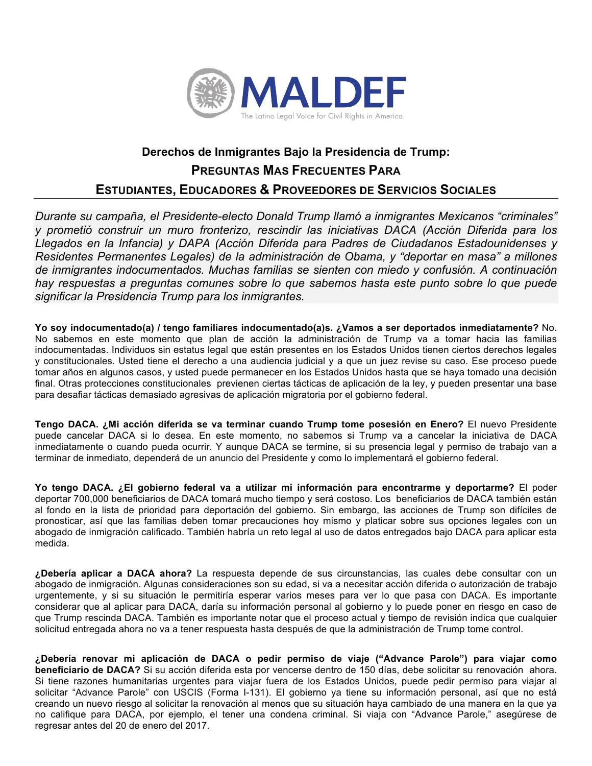

## **Derechos de Inmigrantes Bajo la Presidencia de Trump: PREGUNTAS MAS FRECUENTES PARA ESTUDIANTES, EDUCADORES & PROVEEDORES DE SERVICIOS SOCIALES**

*Durante su campaña, el Presidente-electo Donald Trump llamó a inmigrantes Mexicanos "criminales" y prometió construir un muro fronterizo, rescindir las iniciativas DACA (Acción Diferida para los Llegados en la Infancia) y DAPA (Acción Diferida para Padres de Ciudadanos Estadounidenses y Residentes Permanentes Legales) de la administración de Obama, y "deportar en masa" a millones de inmigrantes indocumentados. Muchas familias se sienten con miedo y confusión. A continuación hay respuestas a preguntas comunes sobre lo que sabemos hasta este punto sobre lo que puede significar la Presidencia Trump para los inmigrantes.* 

**Yo soy indocumentado(a) / tengo familiares indocumentado(a)s. ¿Vamos a ser deportados inmediatamente?** No. No sabemos en este momento que plan de acción la administración de Trump va a tomar hacia las familias indocumentadas. Individuos sin estatus legal que están presentes en los Estados Unidos tienen ciertos derechos legales y constitucionales. Usted tiene el derecho a una audiencia judicial y a que un juez revise su caso. Ese proceso puede tomar años en algunos casos, y usted puede permanecer en los Estados Unidos hasta que se haya tomado una decisión final. Otras protecciones constitucionales previenen ciertas tácticas de aplicación de la ley, y pueden presentar una base para desafiar tácticas demasiado agresivas de aplicación migratoria por el gobierno federal.

**Tengo DACA. ¿Mi acción diferida se va terminar cuando Trump tome posesión en Enero?** El nuevo Presidente puede cancelar DACA si lo desea. En este momento, no sabemos si Trump va a cancelar la iniciativa de DACA inmediatamente o cuando pueda ocurrir. Y aunque DACA se termine, si su presencia legal y permiso de trabajo van a terminar de inmediato, dependerá de un anuncio del Presidente y como lo implementará el gobierno federal.

**Yo tengo DACA. ¿El gobierno federal va a utilizar mi información para encontrarme y deportarme?** El poder deportar 700,000 beneficiarios de DACA tomará mucho tiempo y será costoso. Los beneficiarios de DACA también están al fondo en la lista de prioridad para deportación del gobierno. Sin embargo, las acciones de Trump son difíciles de pronosticar, así que las familias deben tomar precauciones hoy mismo y platicar sobre sus opciones legales con un abogado de inmigración calificado. También habría un reto legal al uso de datos entregados bajo DACA para aplicar esta medida.

**¿Debería aplicar a DACA ahora?** La respuesta depende de sus circunstancias, las cuales debe consultar con un abogado de inmigración. Algunas consideraciones son su edad, si va a necesitar acción diferida o autorización de trabajo urgentemente, y si su situación le permitiría esperar varios meses para ver lo que pasa con DACA. Es importante considerar que al aplicar para DACA, daría su información personal al gobierno y lo puede poner en riesgo en caso de que Trump rescinda DACA. También es importante notar que el proceso actual y tiempo de revisión indica que cualquier solicitud entregada ahora no va a tener respuesta hasta después de que la administración de Trump tome control.

**¿Debería renovar mi aplicación de DACA o pedir permiso de viaje ("Advance Parole") para viajar como beneficiario de DACA?** Si su acción diferida esta por vencerse dentro de 150 días, debe solicitar su renovación ahora. Si tiene razones humanitarias urgentes para viajar fuera de los Estados Unidos, puede pedir permiso para viajar al solicitar "Advance Parole" con USCIS (Forma I-131). El gobierno ya tiene su información personal, así que no está creando un nuevo riesgo al solicitar la renovación al menos que su situación haya cambiado de una manera en la que ya no califique para DACA, por ejemplo, el tener una condena criminal. Si viaja con "Advance Parole," asegúrese de regresar antes del 20 de enero del 2017.